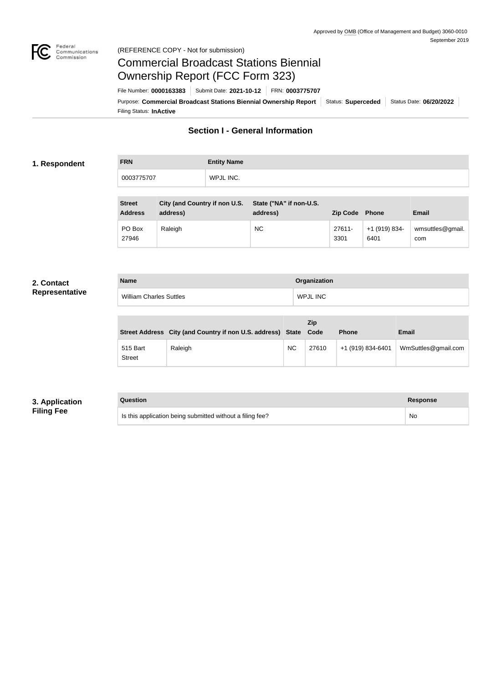

#### Federal<br>Communications<br>Commission (REFERENCE COPY - Not for submission)

# Commercial Broadcast Stations Biennial Ownership Report (FCC Form 323)

Filing Status: **InActive** Purpose: Commercial Broadcast Stations Biennial Ownership Report Status: Superceded Status Date: 06/20/2022 File Number: **0000163383** Submit Date: **2021-10-12** FRN: **0003775707**

## **Section I - General Information**

### **1. Respondent**

**FRN Entity Name** 0003775707 WPJL INC.

| <b>Street</b><br><b>Address</b> | City (and Country if non U.S.<br>address) | State ("NA" if non-U.S.<br>address) | <b>Zip Code</b> Phone |                       | Email                   |
|---------------------------------|-------------------------------------------|-------------------------------------|-----------------------|-----------------------|-------------------------|
| PO Box<br>27946                 | Raleigh                                   | <b>NC</b>                           | 27611-<br>3301        | +1 (919) 834-<br>6401 | wmsuttles@gmail.<br>com |

#### **2. Contact Representative**

| <b>Name</b>                    | Organization    |
|--------------------------------|-----------------|
| <b>William Charles Suttles</b> | <b>WPJL INC</b> |

|                           | Street Address City (and Country if non U.S. address) State Code |           | Zip   | <b>Phone</b>      | <b>Email</b>        |
|---------------------------|------------------------------------------------------------------|-----------|-------|-------------------|---------------------|
| 515 Bart<br><b>Street</b> | Raleigh                                                          | <b>NC</b> | 27610 | +1 (919) 834-6401 | WmSuttles@gmail.com |

### **3. Application Filing Fee**

| Question                                                  | <b>Response</b> |
|-----------------------------------------------------------|-----------------|
| Is this application being submitted without a filing fee? | No              |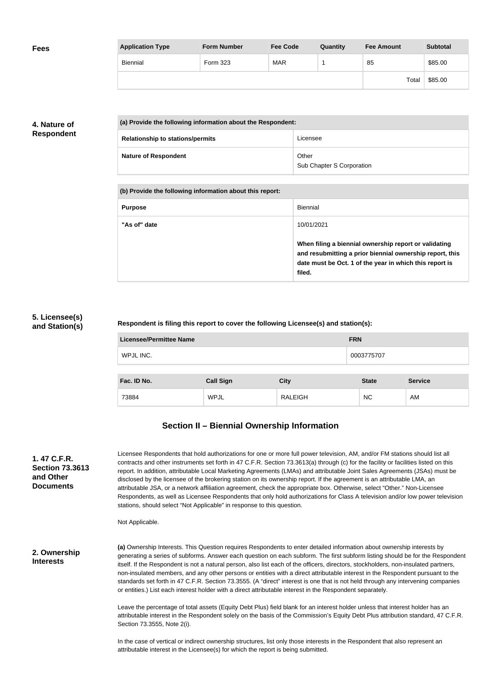| <b>Fees</b> | <b>Application Type</b> | <b>Form Number</b> | <b>Fee Code</b> | Quantity | <b>Fee Amount</b> | <b>Subtotal</b> |
|-------------|-------------------------|--------------------|-----------------|----------|-------------------|-----------------|
|             | Biennial                | Form 323           | <b>MAR</b>      |          | 85                | \$85.00         |
|             |                         |                    |                 |          | Total             | \$85.00         |

## **4. Nature of Respondent**

| (a) Provide the following information about the Respondent: |                                    |  |  |  |
|-------------------------------------------------------------|------------------------------------|--|--|--|
| <b>Relationship to stations/permits</b>                     | Licensee                           |  |  |  |
| <b>Nature of Respondent</b>                                 | Other<br>Sub Chapter S Corporation |  |  |  |

| (b) Provide the following information about this report: |                                                                                                                                                                                        |
|----------------------------------------------------------|----------------------------------------------------------------------------------------------------------------------------------------------------------------------------------------|
| <b>Purpose</b>                                           | Biennial                                                                                                                                                                               |
| "As of" date                                             | 10/01/2021                                                                                                                                                                             |
|                                                          | When filing a biennial ownership report or validating<br>and resubmitting a prior biennial ownership report, this<br>date must be Oct. 1 of the year in which this report is<br>filed. |

#### **5. Licensee(s) and Station(s)**

**Respondent is filing this report to cover the following Licensee(s) and station(s):**

| <b>Licensee/Permittee Name</b> |                  |                | <b>FRN</b>   |                |  |
|--------------------------------|------------------|----------------|--------------|----------------|--|
| WPJL INC.                      |                  |                | 0003775707   |                |  |
| Fac. ID No.                    |                  |                | <b>State</b> | <b>Service</b> |  |
|                                | <b>Call Sign</b> | <b>City</b>    |              |                |  |
| 73884                          | <b>WPJL</b>      | <b>RALEIGH</b> | <b>NC</b>    | AM             |  |

## **Section II – Biennial Ownership Information**

| 1. 47 C.F.R.           |
|------------------------|
| <b>Section 73.3613</b> |
| and Other              |
| Documents              |

Licensee Respondents that hold authorizations for one or more full power television, AM, and/or FM stations should list all contracts and other instruments set forth in 47 C.F.R. Section 73.3613(a) through (c) for the facility or facilities listed on this report. In addition, attributable Local Marketing Agreements (LMAs) and attributable Joint Sales Agreements (JSAs) must be disclosed by the licensee of the brokering station on its ownership report. If the agreement is an attributable LMA, an attributable JSA, or a network affiliation agreement, check the appropriate box. Otherwise, select "Other." Non-Licensee Respondents, as well as Licensee Respondents that only hold authorizations for Class A television and/or low power television stations, should select "Not Applicable" in response to this question.

Not Applicable.

**2. Ownership Interests**

**(a)** Ownership Interests. This Question requires Respondents to enter detailed information about ownership interests by generating a series of subforms. Answer each question on each subform. The first subform listing should be for the Respondent itself. If the Respondent is not a natural person, also list each of the officers, directors, stockholders, non-insulated partners, non-insulated members, and any other persons or entities with a direct attributable interest in the Respondent pursuant to the standards set forth in 47 C.F.R. Section 73.3555. (A "direct" interest is one that is not held through any intervening companies or entities.) List each interest holder with a direct attributable interest in the Respondent separately.

Leave the percentage of total assets (Equity Debt Plus) field blank for an interest holder unless that interest holder has an attributable interest in the Respondent solely on the basis of the Commission's Equity Debt Plus attribution standard, 47 C.F.R. Section 73.3555, Note 2(i).

In the case of vertical or indirect ownership structures, list only those interests in the Respondent that also represent an attributable interest in the Licensee(s) for which the report is being submitted.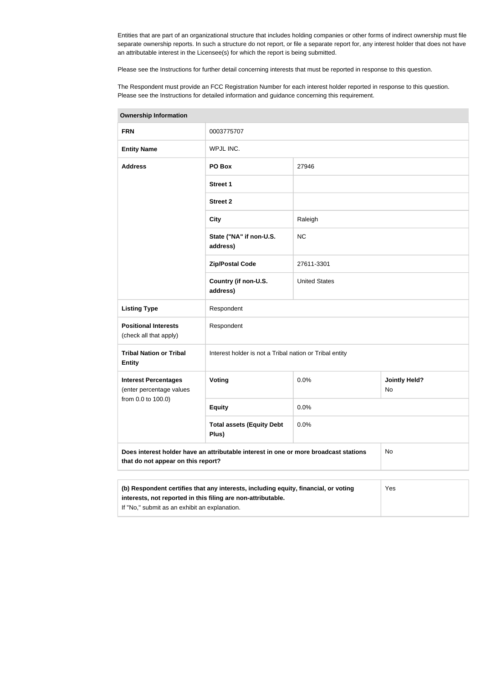Entities that are part of an organizational structure that includes holding companies or other forms of indirect ownership must file separate ownership reports. In such a structure do not report, or file a separate report for, any interest holder that does not have an attributable interest in the Licensee(s) for which the report is being submitted.

Please see the Instructions for further detail concerning interests that must be reported in response to this question.

The Respondent must provide an FCC Registration Number for each interest holder reported in response to this question. Please see the Instructions for detailed information and guidance concerning this requirement.

| Ownership information                                                                                                                                                                                |                                                                                      |                      |                            |  |  |
|------------------------------------------------------------------------------------------------------------------------------------------------------------------------------------------------------|--------------------------------------------------------------------------------------|----------------------|----------------------------|--|--|
| <b>FRN</b>                                                                                                                                                                                           | 0003775707                                                                           |                      |                            |  |  |
| <b>Entity Name</b>                                                                                                                                                                                   | WPJL INC.                                                                            |                      |                            |  |  |
| <b>Address</b>                                                                                                                                                                                       | PO Box<br>27946                                                                      |                      |                            |  |  |
|                                                                                                                                                                                                      | <b>Street 1</b>                                                                      |                      |                            |  |  |
|                                                                                                                                                                                                      | <b>Street 2</b>                                                                      |                      |                            |  |  |
|                                                                                                                                                                                                      | <b>City</b>                                                                          | Raleigh              |                            |  |  |
|                                                                                                                                                                                                      | State ("NA" if non-U.S.<br>address)                                                  | <b>NC</b>            |                            |  |  |
|                                                                                                                                                                                                      | <b>Zip/Postal Code</b>                                                               | 27611-3301           |                            |  |  |
|                                                                                                                                                                                                      | Country (if non-U.S.<br>address)                                                     | <b>United States</b> |                            |  |  |
| <b>Listing Type</b>                                                                                                                                                                                  | Respondent                                                                           |                      |                            |  |  |
| <b>Positional Interests</b><br>(check all that apply)                                                                                                                                                | Respondent                                                                           |                      |                            |  |  |
| <b>Tribal Nation or Tribal</b><br><b>Entity</b>                                                                                                                                                      | Interest holder is not a Tribal nation or Tribal entity                              |                      |                            |  |  |
| <b>Interest Percentages</b><br>(enter percentage values                                                                                                                                              | Voting                                                                               | 0.0%                 | <b>Jointly Held?</b><br>No |  |  |
|                                                                                                                                                                                                      | from 0.0 to 100.0)<br>0.0%<br><b>Equity</b>                                          |                      |                            |  |  |
|                                                                                                                                                                                                      | <b>Total assets (Equity Debt</b><br>0.0%<br>Plus)                                    |                      |                            |  |  |
| that do not appear on this report?                                                                                                                                                                   | Does interest holder have an attributable interest in one or more broadcast stations |                      | No                         |  |  |
|                                                                                                                                                                                                      |                                                                                      |                      |                            |  |  |
| (b) Respondent certifies that any interests, including equity, financial, or voting<br>interests, not reported in this filing are non-attributable.<br>If "No," submit as an exhibit an explanation. |                                                                                      |                      | Yes                        |  |  |

**Ownership Information**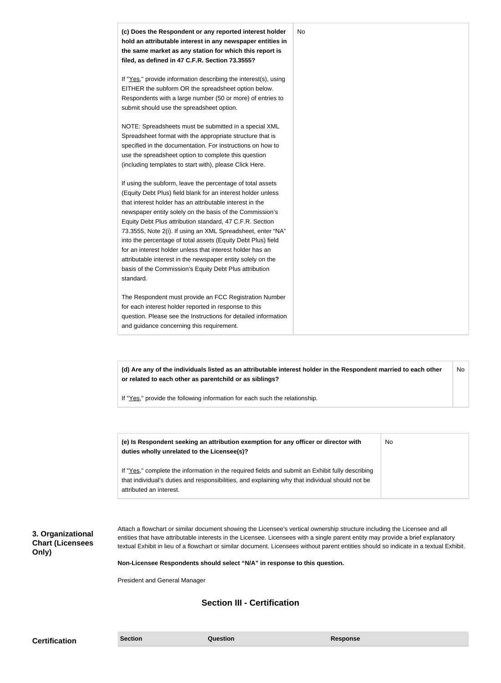| (c) Does the Respondent or any reported interest holder<br>hold an attributable interest in any newspaper entities in<br>the same market as any station for which this report is<br>filed, as defined in 47 C.F.R. Section 73.3555?                                                                                                                                                                                                                                                                                                                                                                                                              | No |
|--------------------------------------------------------------------------------------------------------------------------------------------------------------------------------------------------------------------------------------------------------------------------------------------------------------------------------------------------------------------------------------------------------------------------------------------------------------------------------------------------------------------------------------------------------------------------------------------------------------------------------------------------|----|
| If "Yes," provide information describing the interest(s), using<br>EITHER the subform OR the spreadsheet option below.<br>Respondents with a large number (50 or more) of entries to<br>submit should use the spreadsheet option.                                                                                                                                                                                                                                                                                                                                                                                                                |    |
| NOTE: Spreadsheets must be submitted in a special XML<br>Spreadsheet format with the appropriate structure that is<br>specified in the documentation. For instructions on how to<br>use the spreadsheet option to complete this question<br>(including templates to start with), please Click Here.                                                                                                                                                                                                                                                                                                                                              |    |
| If using the subform, leave the percentage of total assets<br>(Equity Debt Plus) field blank for an interest holder unless<br>that interest holder has an attributable interest in the<br>newspaper entity solely on the basis of the Commission's<br>Equity Debt Plus attribution standard, 47 C.F.R. Section<br>73.3555, Note 2(i). If using an XML Spreadsheet, enter "NA"<br>into the percentage of total assets (Equity Debt Plus) field<br>for an interest holder unless that interest holder has an<br>attributable interest in the newspaper entity solely on the<br>basis of the Commission's Equity Debt Plus attribution<br>standard. |    |
| The Respondent must provide an FCC Registration Number<br>for each interest holder reported in response to this<br>question. Please see the Instructions for detailed information<br>and guidance concerning this requirement.                                                                                                                                                                                                                                                                                                                                                                                                                   |    |

**(d) Are any of the individuals listed as an attributable interest holder in the Respondent married to each other or related to each other as parentchild or as siblings?** No

If "Yes," provide the following information for each such the relationship.

| (e) Is Respondent seeking an attribution exemption for any officer or director with<br>duties wholly unrelated to the Licensee(s)? | No. |
|------------------------------------------------------------------------------------------------------------------------------------|-----|
| If "Yes," complete the information in the required fields and submit an Exhibit fully describing                                   |     |
| that individual's duties and responsibilities, and explaining why that individual should not be                                    |     |
| attributed an interest.                                                                                                            |     |

**3. Organizational Chart (Licensees Only)**

Attach a flowchart or similar document showing the Licensee's vertical ownership structure including the Licensee and all entities that have attributable interests in the Licensee. Licensees with a single parent entity may provide a brief explanatory textual Exhibit in lieu of a flowchart or similar document. Licensees without parent entities should so indicate in a textual Exhibit.

**Non-Licensee Respondents should select "N/A" in response to this question.**

President and General Manager

## **Section III - Certification**

**Certification Section Section Question** *Question* **Response**